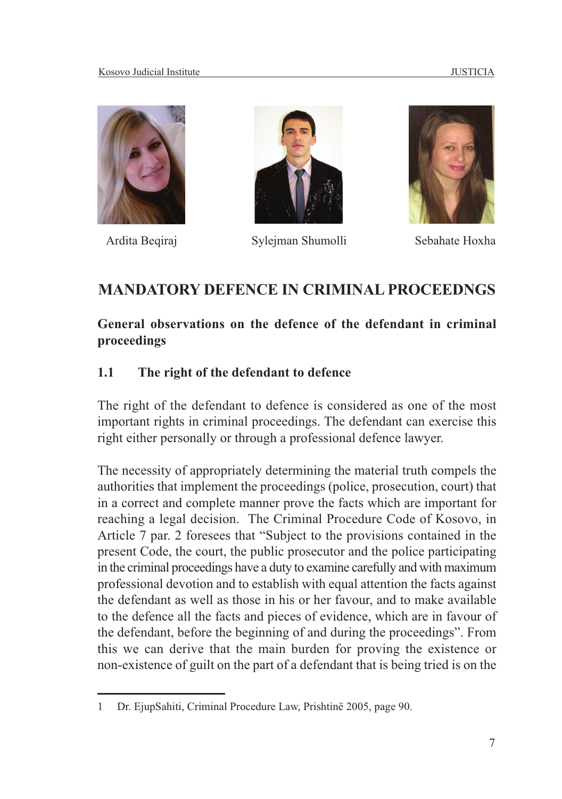



Ardita Beqiraj Sylejman Shumolli Sebahate Hoxha



# **MANDATORY DEFENCE IN CRIMINAL PROCEEDNGS**

## **General observations on the defence of the defendant in criminal proceedings**

## **1.1 The right of the defendant to defence**

The right of the defendant to defence is considered as one of the most important rights in criminal proceedings. The defendant can exercise this right either personally or through a professional defence lawyer.

The necessity of appropriately determining the material truth compels the authorities that implement the proceedings (police, prosecution, court) that in a correct and complete manner prove the facts which are important for reaching a legal decision. The Criminal Procedure Code of Kosovo, in Article 7 par. 2 foresees that "Subject to the provisions contained in the present Code, the court, the public prosecutor and the police participating in the criminal proceedings have a duty to examine carefully and with maximum professional devotion and to establish with equal attention the facts against the defendant as well as those in his or her favour, and to make available to the defence all the facts and pieces of evidence, which are in favour of the defendant, before the beginning of and during the proceedings". From this we can derive that the main burden for proving the existence or non-existence of guilt on the part of a defendant that is being tried is on the

<sup>1</sup> Dr. EjupSahiti, Criminal Procedure Law, Prishtinë 2005, page 90.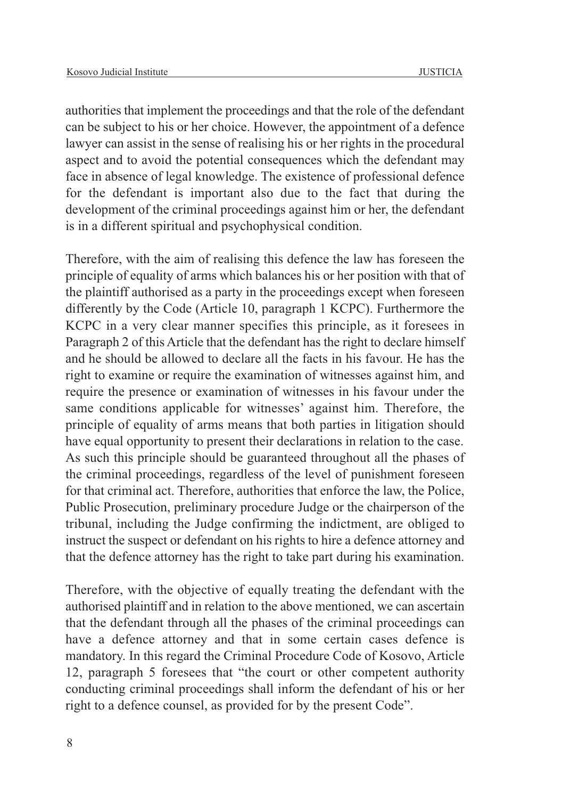authorities that implement the proceedings and that the role of the defendant can be subject to his or her choice. However, the appointment of a defence lawyer can assist in the sense of realising his or her rights in the procedural aspect and to avoid the potential consequences which the defendant may face in absence of legal knowledge. The existence of professional defence for the defendant is important also due to the fact that during the development of the criminal proceedings against him or her, the defendant is in a different spiritual and psychophysical condition.

Therefore, with the aim of realising this defence the law has foreseen the principle of equality of arms which balances his or her position with that of the plaintiff authorised as a party in the proceedings except when foreseen differently by the Code (Article 10, paragraph 1 KCPC). Furthermore the KCPC in a very clear manner specifies this principle, as it foresees in Paragraph 2 of this Article that the defendant has the right to declare himself and he should be allowed to declare all the facts in his favour. He has the right to examine or require the examination of witnesses against him, and require the presence or examination of witnesses in his favour under the same conditions applicable for witnesses' against him. Therefore, the principle of equality of arms means that both parties in litigation should have equal opportunity to present their declarations in relation to the case. As such this principle should be guaranteed throughout all the phases of the criminal proceedings, regardless of the level of punishment foreseen for that criminal act. Therefore, authorities that enforce the law, the Police, Public Prosecution, preliminary procedure Judge or the chairperson of the tribunal, including the Judge confirming the indictment, are obliged to instruct the suspect or defendant on his rights to hire a defence attorney and that the defence attorney has the right to take part during his examination.

Therefore, with the objective of equally treating the defendant with the authorised plaintiff and in relation to the above mentioned, we can ascertain that the defendant through all the phases of the criminal proceedings can have a defence attorney and that in some certain cases defence is mandatory. In this regard the Criminal Procedure Code of Kosovo, Article 12, paragraph 5 foresees that "the court or other competent authority conducting criminal proceedings shall inform the defendant of his or her right to a defence counsel, as provided for by the present Code".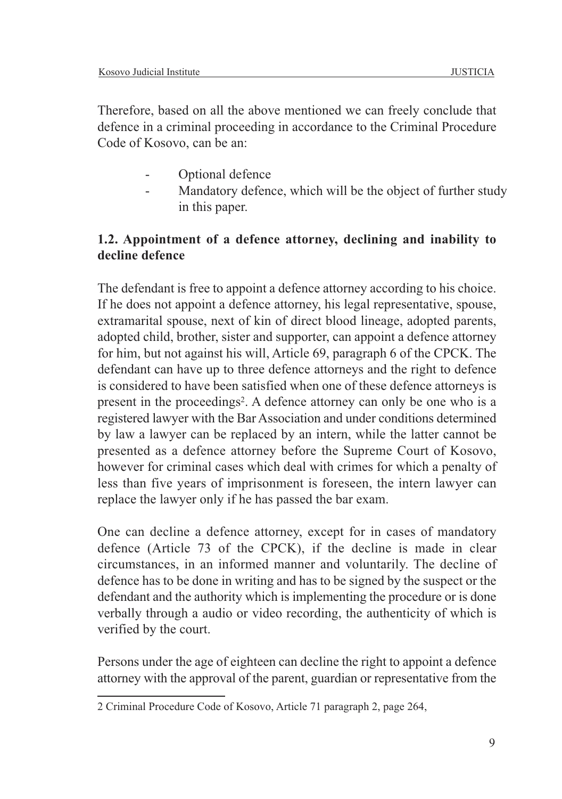Therefore, based on all the above mentioned we can freely conclude that defence in a criminal proceeding in accordance to the Criminal Procedure Code of Kosovo, can be an:

- Optional defence
- Mandatory defence, which will be the object of further study in this paper.

## **1.2. Appointment of a defence attorney, declining and inability to decline defence**

The defendant is free to appoint a defence attorney according to his choice. If he does not appoint a defence attorney, his legal representative, spouse, extramarital spouse, next of kin of direct blood lineage, adopted parents, adopted child, brother, sister and supporter, can appoint a defence attorney for him, but not against his will, Article 69, paragraph 6 of the CPCK. The defendant can have up to three defence attorneys and the right to defence is considered to have been satisfied when one of these defence attorneys is present in the proceedings2. A defence attorney can only be one who is a registered lawyer with the Bar Association and under conditions determined by law a lawyer can be replaced by an intern, while the latter cannot be presented as a defence attorney before the Supreme Court of Kosovo, however for criminal cases which deal with crimes for which a penalty of less than five years of imprisonment is foreseen, the intern lawyer can replace the lawyer only if he has passed the bar exam.

One can decline a defence attorney, except for in cases of mandatory defence (Article 73 of the CPCK), if the decline is made in clear circumstances, in an informed manner and voluntarily. The decline of defence has to be done in writing and has to be signed by the suspect or the defendant and the authority which is implementing the procedure or is done verbally through a audio or video recording, the authenticity of which is verified by the court.

Persons under the age of eighteen can decline the right to appoint a defence attorney with the approval of the parent, guardian or representative from the

<sup>2</sup> Criminal Procedure Code of Kosovo, Article 71 paragraph 2, page 264,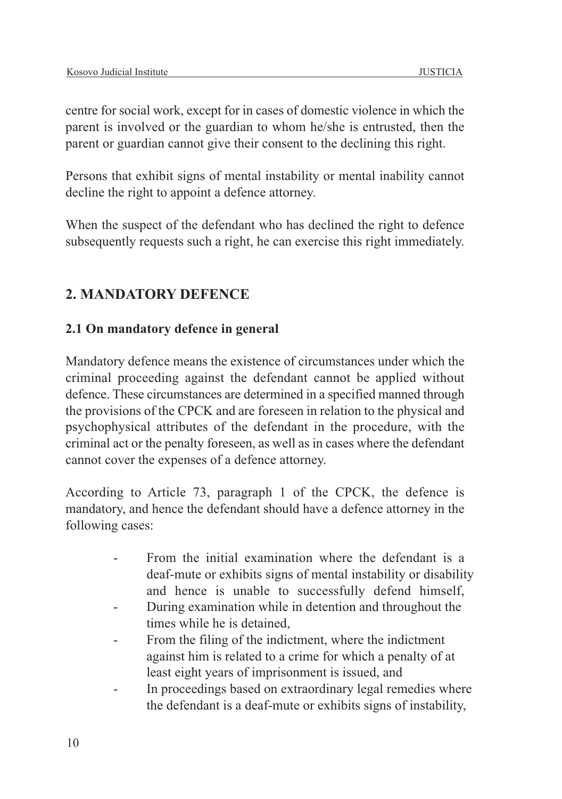centre for social work, except for in cases of domestic violence in which the parent is involved or the guardian to whom he/she is entrusted, then the parent or guardian cannot give their consent to the declining this right.

Persons that exhibit signs of mental instability or mental inability cannot decline the right to appoint a defence attorney.

When the suspect of the defendant who has declined the right to defence subsequently requests such a right, he can exercise this right immediately.

## **2. MANDATORY DEFENCE**

#### **2.1 On mandatory defence in general**

Mandatory defence means the existence of circumstances under which the criminal proceeding against the defendant cannot be applied without defence. These circumstances are determined in a specified manned through the provisions of the CPCK and are foreseen in relation to the physical and psychophysical attributes of the defendant in the procedure, with the criminal act or the penalty foreseen, as well as in cases where the defendant cannot cover the expenses of a defence attorney.

According to Article 73, paragraph 1 of the CPCK, the defence is mandatory, and hence the defendant should have a defence attorney in the following cases:

- From the initial examination where the defendant is a deaf-mute or exhibits signs of mental instability or disability and hence is unable to successfully defend himself,
- During examination while in detention and throughout the times while he is detained,
- From the filing of the indictment, where the indictment against him is related to a crime for which a penalty of at least eight years of imprisonment is issued, and
- In proceedings based on extraordinary legal remedies where the defendant is a deaf-mute or exhibits signs of instability,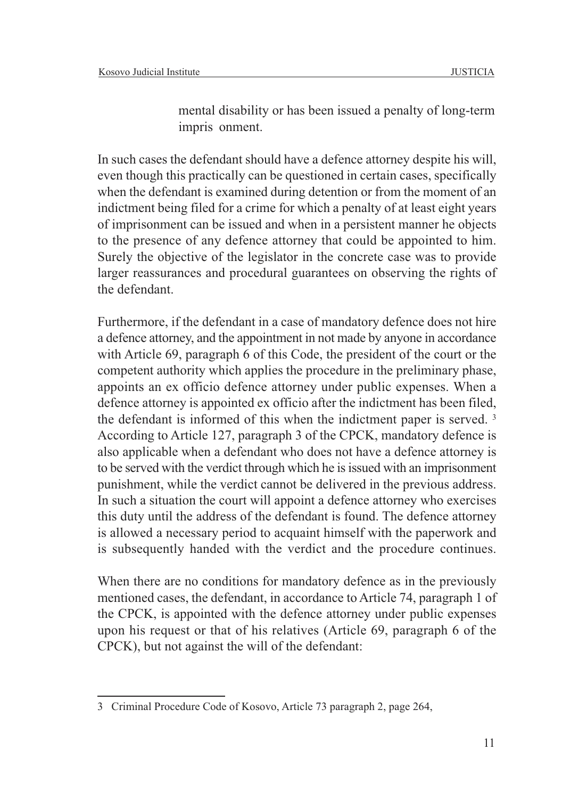mental disability or has been issued a penalty of long-term impris onment.

In such cases the defendant should have a defence attorney despite his will, even though this practically can be questioned in certain cases, specifically when the defendant is examined during detention or from the moment of an indictment being filed for a crime for which a penalty of at least eight years of imprisonment can be issued and when in a persistent manner he objects to the presence of any defence attorney that could be appointed to him. Surely the objective of the legislator in the concrete case was to provide larger reassurances and procedural guarantees on observing the rights of the defendant.

Furthermore, if the defendant in a case of mandatory defence does not hire a defence attorney, and the appointment in not made by anyone in accordance with Article 69, paragraph 6 of this Code, the president of the court or the competent authority which applies the procedure in the preliminary phase, appoints an ex officio defence attorney under public expenses. When a defence attorney is appointed ex officio after the indictment has been filed, the defendant is informed of this when the indictment paper is served. 3 According to Article 127, paragraph 3 of the CPCK, mandatory defence is also applicable when a defendant who does not have a defence attorney is to be served with the verdict through which he is issued with an imprisonment punishment, while the verdict cannot be delivered in the previous address. In such a situation the court will appoint a defence attorney who exercises this duty until the address of the defendant is found. The defence attorney is allowed a necessary period to acquaint himself with the paperwork and is subsequently handed with the verdict and the procedure continues.

When there are no conditions for mandatory defence as in the previously mentioned cases, the defendant, in accordance to Article 74, paragraph 1 of the CPCK, is appointed with the defence attorney under public expenses upon his request or that of his relatives (Article 69, paragraph 6 of the CPCK), but not against the will of the defendant:

<sup>3</sup> Criminal Procedure Code of Kosovo, Article 73 paragraph 2, page 264,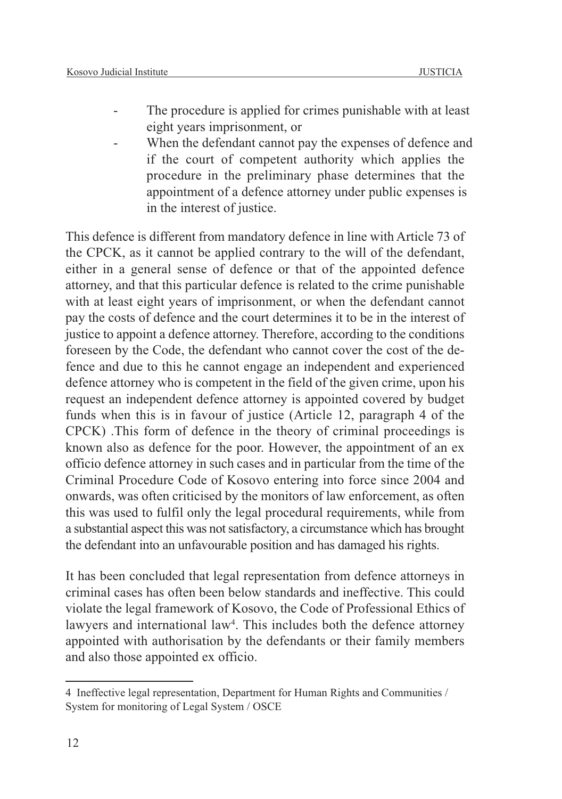- The procedure is applied for crimes punishable with at least eight years imprisonment, or
- When the defendant cannot pay the expenses of defence and if the court of competent authority which applies the procedure in the preliminary phase determines that the appointment of a defence attorney under public expenses is in the interest of justice.

This defence is different from mandatory defence in line with Article 73 of the CPCK, as it cannot be applied contrary to the will of the defendant, either in a general sense of defence or that of the appointed defence attorney, and that this particular defence is related to the crime punishable with at least eight years of imprisonment, or when the defendant cannot pay the costs of defence and the court determines it to be in the interest of justice to appoint a defence attorney. Therefore, according to the conditions foreseen by the Code, the defendant who cannot cover the cost of the defence and due to this he cannot engage an independent and experienced defence attorney who is competent in the field of the given crime, upon his request an independent defence attorney is appointed covered by budget funds when this is in favour of justice (Article 12, paragraph 4 of the CPCK) .This form of defence in the theory of criminal proceedings is known also as defence for the poor. However, the appointment of an ex officio defence attorney in such cases and in particular from the time of the Criminal Procedure Code of Kosovo entering into force since 2004 and onwards, was often criticised by the monitors of law enforcement, as often this was used to fulfil only the legal procedural requirements, while from a substantial aspect this was not satisfactory, a circumstance which has brought the defendant into an unfavourable position and has damaged his rights.

It has been concluded that legal representation from defence attorneys in criminal cases has often been below standards and ineffective. This could violate the legal framework of Kosovo, the Code of Professional Ethics of lawyers and international law<sup>4</sup>. This includes both the defence attorney appointed with authorisation by the defendants or their family members and also those appointed ex officio.

<sup>4</sup> Ineffective legal representation, Department for Human Rights and Communities / System for monitoring of Legal System / OSCE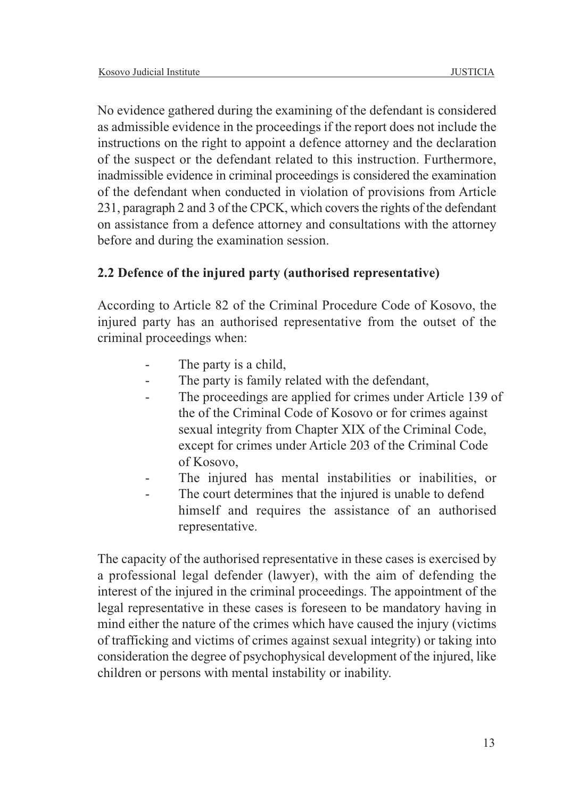No evidence gathered during the examining of the defendant is considered as admissible evidence in the proceedings if the report does not include the instructions on the right to appoint a defence attorney and the declaration of the suspect or the defendant related to this instruction. Furthermore, inadmissible evidence in criminal proceedings is considered the examination of the defendant when conducted in violation of provisions from Article 231, paragraph 2 and 3 of the CPCK, which covers the rights of the defendant on assistance from a defence attorney and consultations with the attorney before and during the examination session.

## **2.2 Defence of the injured party (authorised representative)**

According to Article 82 of the Criminal Procedure Code of Kosovo, the injured party has an authorised representative from the outset of the criminal proceedings when:

- The party is a child,
- The party is family related with the defendant,
- The proceedings are applied for crimes under Article 139 of the of the Criminal Code of Kosovo or for crimes against sexual integrity from Chapter XIX of the Criminal Code, except for crimes under Article 203 of the Criminal Code of Kosovo,
- The injured has mental instabilities or inabilities, or
- The court determines that the injured is unable to defend himself and requires the assistance of an authorised representative.

The capacity of the authorised representative in these cases is exercised by a professional legal defender (lawyer), with the aim of defending the interest of the injured in the criminal proceedings. The appointment of the legal representative in these cases is foreseen to be mandatory having in mind either the nature of the crimes which have caused the injury (victims of trafficking and victims of crimes against sexual integrity) or taking into consideration the degree of psychophysical development of the injured, like children or persons with mental instability or inability.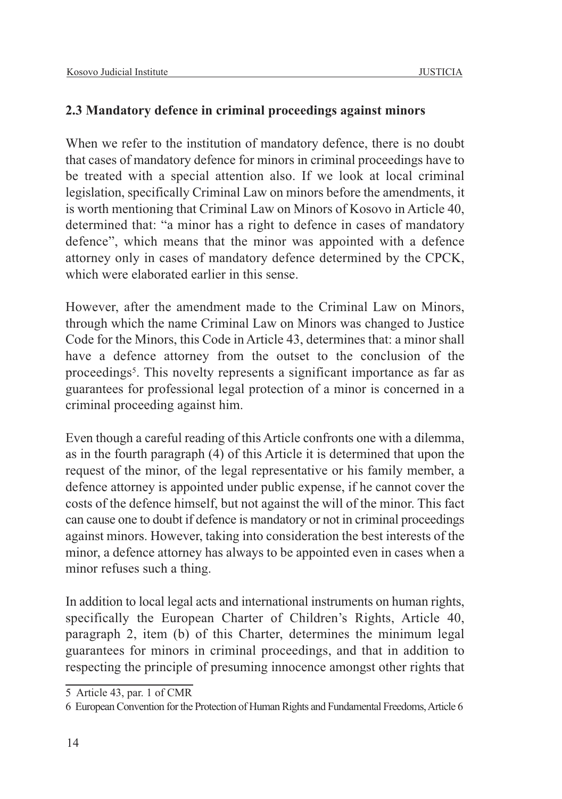## **2.3 Mandatory defence in criminal proceedings against minors**

When we refer to the institution of mandatory defence, there is no doubt that cases of mandatory defence for minors in criminal proceedings have to be treated with a special attention also. If we look at local criminal legislation, specifically Criminal Law on minors before the amendments, it is worth mentioning that Criminal Law on Minors of Kosovo in Article 40, determined that: "a minor has a right to defence in cases of mandatory defence", which means that the minor was appointed with a defence attorney only in cases of mandatory defence determined by the CPCK, which were elaborated earlier in this sense.

However, after the amendment made to the Criminal Law on Minors, through which the name Criminal Law on Minors was changed to Justice Code for the Minors, this Code in Article 43, determines that: a minor shall have a defence attorney from the outset to the conclusion of the proceedings5. This novelty represents a significant importance as far as guarantees for professional legal protection of a minor is concerned in a criminal proceeding against him.

Even though a careful reading of this Article confronts one with a dilemma, as in the fourth paragraph (4) of this Article it is determined that upon the request of the minor, of the legal representative or his family member, a defence attorney is appointed under public expense, if he cannot cover the costs of the defence himself, but not against the will of the minor. This fact can cause one to doubt if defence is mandatory or not in criminal proceedings against minors. However, taking into consideration the best interests of the minor, a defence attorney has always to be appointed even in cases when a minor refuses such a thing.

In addition to local legal acts and international instruments on human rights, specifically the European Charter of Children's Rights, Article 40, paragraph 2, item (b) of this Charter, determines the minimum legal guarantees for minors in criminal proceedings, and that in addition to respecting the principle of presuming innocence amongst other rights that

<sup>5</sup> Article 43, par. 1 of CMR

<sup>6</sup> European Convention for the Protection of Human Rights and Fundamental Freedoms, Article 6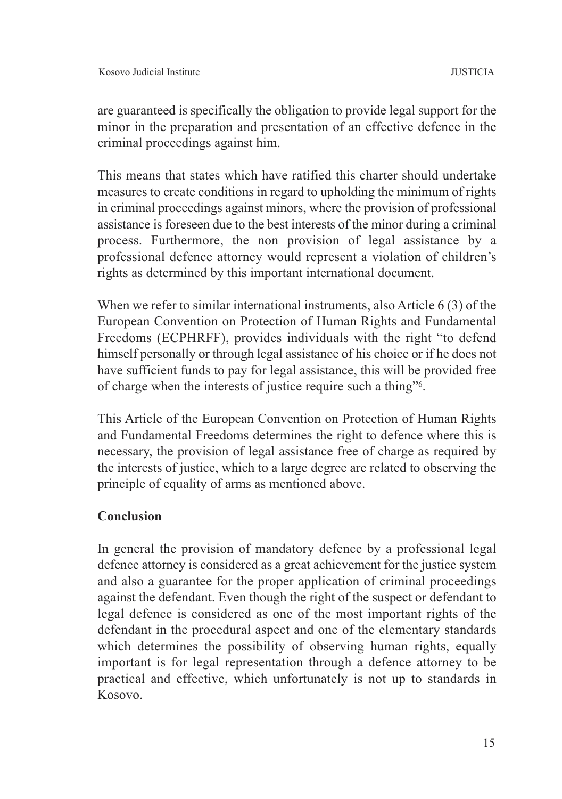are guaranteed is specifically the obligation to provide legal support for the minor in the preparation and presentation of an effective defence in the criminal proceedings against him.

This means that states which have ratified this charter should undertake measures to create conditions in regard to upholding the minimum of rights in criminal proceedings against minors, where the provision of professional assistance is foreseen due to the best interests of the minor during a criminal process. Furthermore, the non provision of legal assistance by a professional defence attorney would represent a violation of children's rights as determined by this important international document.

When we refer to similar international instruments, also Article 6 (3) of the European Convention on Protection of Human Rights and Fundamental Freedoms (ECPHRFF), provides individuals with the right "to defend himself personally or through legal assistance of his choice or if he does not have sufficient funds to pay for legal assistance, this will be provided free of charge when the interests of justice require such a thing"6.

This Article of the European Convention on Protection of Human Rights and Fundamental Freedoms determines the right to defence where this is necessary, the provision of legal assistance free of charge as required by the interests of justice, which to a large degree are related to observing the principle of equality of arms as mentioned above.

## **Conclusion**

In general the provision of mandatory defence by a professional legal defence attorney is considered as a great achievement for the justice system and also a guarantee for the proper application of criminal proceedings against the defendant. Even though the right of the suspect or defendant to legal defence is considered as one of the most important rights of the defendant in the procedural aspect and one of the elementary standards which determines the possibility of observing human rights, equally important is for legal representation through a defence attorney to be practical and effective, which unfortunately is not up to standards in Kosovo.